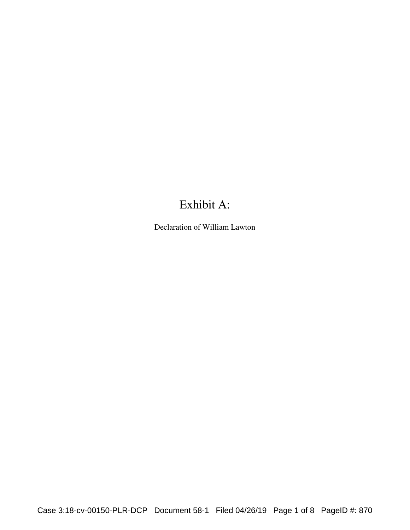## Exhibit A:

Declaration of William Lawton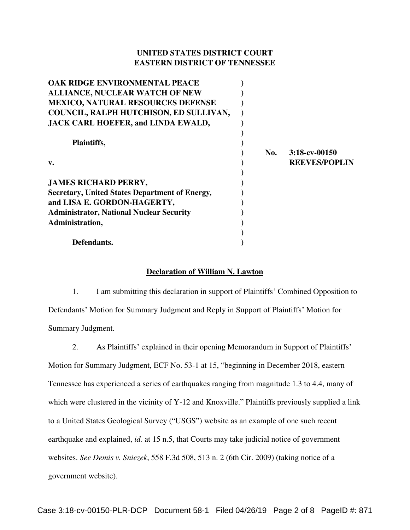## **UNITED STATES DISTRICT COURT EASTERN DISTRICT OF TENNESSEE**

| OAK RIDGE ENVIRONMENTAL PEACE                         |     |                      |
|-------------------------------------------------------|-----|----------------------|
| <b>ALLIANCE, NUCLEAR WATCH OF NEW</b>                 |     |                      |
| <b>MEXICO, NATURAL RESOURCES DEFENSE</b>              |     |                      |
| COUNCIL, RALPH HUTCHISON, ED SULLIVAN,                |     |                      |
| JACK CARL HOEFER, and LINDA EWALD,                    |     |                      |
|                                                       |     |                      |
| Plaintiffs,                                           |     |                      |
|                                                       | No. | $3:18$ -cv-00150     |
| $V_{\bullet}$                                         |     | <b>REEVES/POPLIN</b> |
|                                                       |     |                      |
| <b>JAMES RICHARD PERRY,</b>                           |     |                      |
| <b>Secretary, United States Department of Energy,</b> |     |                      |
| and LISA E. GORDON-HAGERTY,                           |     |                      |
| <b>Administrator, National Nuclear Security</b>       |     |                      |
| Administration,                                       |     |                      |
|                                                       |     |                      |
| Defendants.                                           |     |                      |

## **Declaration of William N. Lawton**

1. I am submitting this declaration in support of Plaintiffs' Combined Opposition to Defendants' Motion for Summary Judgment and Reply in Support of Plaintiffs' Motion for Summary Judgment.

2. As Plaintiffs' explained in their opening Memorandum in Support of Plaintiffs' Motion for Summary Judgment, ECF No. 53-1 at 15, "beginning in December 2018, eastern Tennessee has experienced a series of earthquakes ranging from magnitude 1.3 to 4.4, many of which were clustered in the vicinity of Y-12 and Knoxville." Plaintiffs previously supplied a link to a United States Geological Survey ("USGS") website as an example of one such recent earthquake and explained, *id.* at 15 n.5, that Courts may take judicial notice of government websites. *See Demis v. Sniezek*, 558 F.3d 508, 513 n. 2 (6th Cir. 2009) (taking notice of a government website).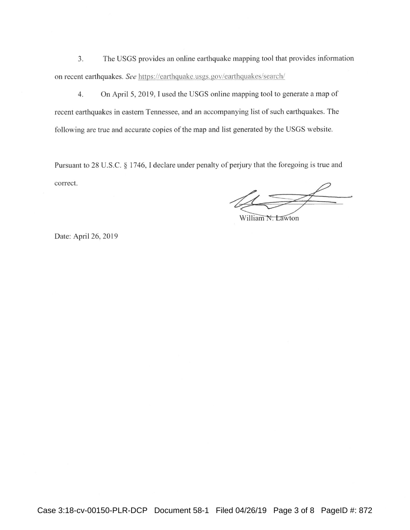$3.$ The USGS provides an online earthquake mapping tool that provides information on recent earthquakes. See https://earthquake.usgs.gov/earthquakes/search/

On April 5, 2019, I used the USGS online mapping tool to generate a map of  $4.$ recent earthquakes in eastern Tennessee, and an accompanying list of such earthquakes. The following are true and accurate copies of the map and list generated by the USGS website.

Pursuant to 28 U.S.C. § 1746, I declare under penalty of perjury that the foregoing is true and correct.

William N. Lawton

Date: April 26, 2019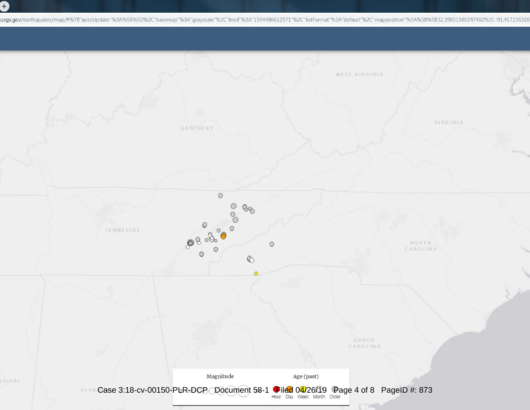0

usgs.gov/earthquakes/map/#%7B"autoUpdate"%3A%5B%5D%2C"basemap"%3A"grayscale"%2C"feed"%3A"1554486612571"%2C"listFormat"%3A"default"%2C"mapposition"%3A%5B%5B32.39851580247402%2C-91.417236328

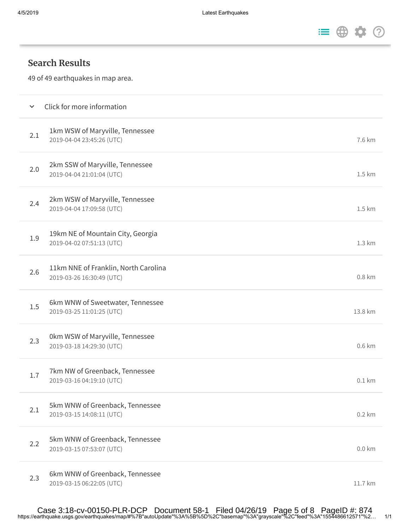

## **Search Results**

49 of 49 earthquakes in map area.

| $\checkmark$ | Click for more information                                        |                   |
|--------------|-------------------------------------------------------------------|-------------------|
| 2.1          | 1km WSW of Maryville, Tennessee<br>2019-04-04 23:45:26 (UTC)      | 7.6 km            |
| 2.0          | 2km SSW of Maryville, Tennessee<br>2019-04-04 21:01:04 (UTC)      | 1.5 km            |
| 2.4          | 2km WSW of Maryville, Tennessee<br>2019-04-04 17:09:58 (UTC)      | 1.5 km            |
| 1.9          | 19km NE of Mountain City, Georgia<br>2019-04-02 07:51:13 (UTC)    | 1.3 km            |
| 2.6          | 11km NNE of Franklin, North Carolina<br>2019-03-26 16:30:49 (UTC) | 0.8 km            |
| 1.5          | 6km WNW of Sweetwater, Tennessee<br>2019-03-25 11:01:25 (UTC)     | 13.8 km           |
| 2.3          | 0km WSW of Maryville, Tennessee<br>2019-03-18 14:29:30 (UTC)      | 0.6 km            |
| 1.7          | 7km NW of Greenback, Tennessee<br>2019-03-16 04:19:10 (UTC)       | 0.1 km            |
| 2.1          | 5km WNW of Greenback, Tennessee<br>2019-03-15 14:08:11 (UTC)      | 0.2 km            |
| 2.2          | 5km WNW of Greenback, Tennessee<br>2019-03-15 07:53:07 (UTC)      | $0.0 \mathrm{km}$ |
| 2.3          | 6km WNW of Greenback, Tennessee<br>2019-03-15 06:22:05 (UTC)      | 11.7 km           |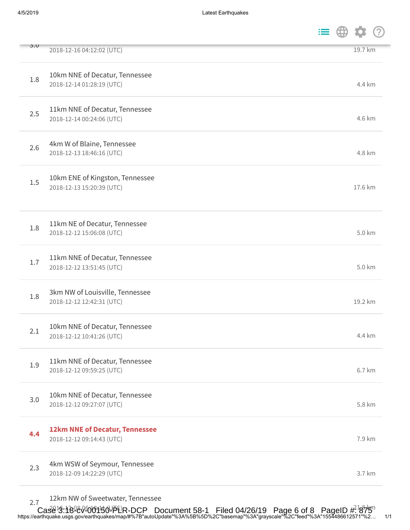| J.U | 2018-12-16 04:12:02 (UTC)                                    |  | 19.7 km |  |
|-----|--------------------------------------------------------------|--|---------|--|
| 1.8 | 10km NNE of Decatur, Tennessee<br>2018-12-14 01:28:19 (UTC)  |  | 4.4 km  |  |
| 2.5 | 11km NNE of Decatur, Tennessee<br>2018-12-14 00:24:06 (UTC)  |  | 4.6 km  |  |
| 2.6 | 4km W of Blaine, Tennessee<br>2018-12-13 18:46:16 (UTC)      |  | 4.8 km  |  |
| 1.5 | 10km ENE of Kingston, Tennessee<br>2018-12-13 15:20:39 (UTC) |  | 17.6 km |  |
| 1.8 | 11km NE of Decatur, Tennessee<br>2018-12-12 15:06:08 (UTC)   |  | 5.0 km  |  |
| 1.7 | 11km NNE of Decatur, Tennessee<br>2018-12-12 13:51:45 (UTC)  |  | 5.0 km  |  |
| 1.8 | 3km NW of Louisville, Tennessee<br>2018-12-12 12:42:31 (UTC) |  | 19.2 km |  |
| 2.1 | 10km NNE of Decatur, Tennessee<br>2018-12-12 10:41:26 (UTC)  |  | 4.4 km  |  |
| 1.9 | 11km NNE of Decatur, Tennessee<br>2018-12-12 09:59:25 (UTC)  |  | 6.7 km  |  |
| 3.0 | 10km NNE of Decatur, Tennessee<br>2018-12-12 09:27:07 (UTC)  |  | 5.8 km  |  |
| 4.4 | 12km NNE of Decatur, Tennessee<br>2018-12-12 09:14:43 (UTC)  |  | 7.9 km  |  |
| 2.3 | 4km WSW of Seymour, Tennessee<br>2018-12-09 14:22:29 (UTC)   |  | 3.7 km  |  |
|     |                                                              |  |         |  |

12km NW of Sweetwater, Tennessee

https://earthquake.usgs.gov/earthquakes/map/#%7B"autoUpdate"%3A%5B%5D%2C"basemap"%3A"grayscale"%2C"feed"%3A"1554486612571"%2… 1/1 2.7  $^{+2.811}_{-2.7}$  Case 3:18 kV 00150-PLR-DCP Document 58-1 Filed 04/26/19 Page 6 of 8 PageID  $\#^{1}875$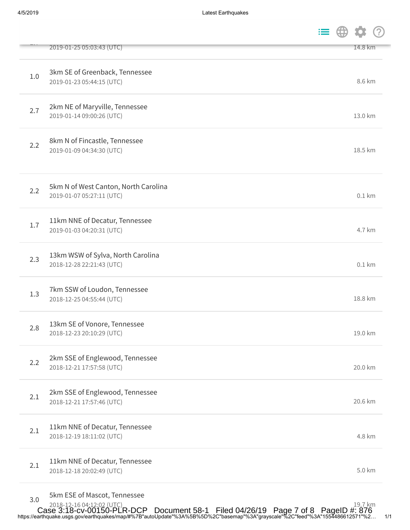|     | 2019-01-25 05:03:43 (UTC)                                                                      | 14.8 km |
|-----|------------------------------------------------------------------------------------------------|---------|
| 1.0 | 3km SE of Greenback, Tennessee<br>2019-01-23 05:44:15 (UTC)                                    | 8.6 km  |
| 2.7 | 2km NE of Maryville, Tennessee<br>2019-01-14 09:00:26 (UTC)                                    | 13.0 km |
| 2.2 | 8km N of Fincastle, Tennessee<br>2019-01-09 04:34:30 (UTC)                                     | 18.5 km |
| 2.2 | 5km N of West Canton, North Carolina<br>2019-01-07 05:27:11 (UTC)                              | 0.1 km  |
| 1.7 | 11km NNE of Decatur, Tennessee<br>2019-01-03 04:20:31 (UTC)                                    | 4.7 km  |
| 2.3 | 13km WSW of Sylva, North Carolina<br>2018-12-28 22:21:43 (UTC)                                 | 0.1 km  |
| 1.3 | 7km SSW of Loudon, Tennessee<br>2018-12-25 04:55:44 (UTC)                                      | 18.8 km |
| 2.8 | 13km SE of Vonore, Tennessee<br>2018-12-23 20:10:29 (UTC)                                      | 19.0 km |
| 2.2 | 2km SSE of Englewood, Tennessee<br>2018-12-21 17:57:58 (UTC)                                   | 20.0 km |
| 2.1 | 2km SSE of Englewood, Tennessee<br>2018-12-21 17:57:46 (UTC)                                   | 20.6 km |
| 2.1 | 11km NNE of Decatur, Tennessee<br>2018-12-19 18:11:02 (UTC)                                    | 4.8 km  |
| 2.1 | 11km NNE of Decatur, Tennessee<br>2018-12-18 20:02:49 (UTC)                                    | 5.0 km  |
| 3.0 | 5km ESE of Mascot, Tennessee<br>2018-12-16 04:12:02 (UTC)<br>Desiment E0.1 Filed 04/26/10 Dege | 19.7 km |

https://earthquake.usgs.gov/earthquakes/map/#%7B"autoUpdate"%3A%5B%5D%2C"basemap"%3A"grayscale"%2C"feed"%3A"1554486612571"%2… 1/1 Case 3:18-cv-00150-PLR-DCP Document 58-1 Filed 04/26/19 Page 7 of 8 PageID #: 876